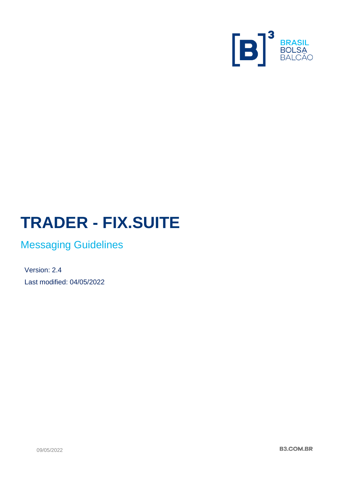

# **TRADER - FIX.SUITE**

# Messaging Guidelines

Version: 2.4 Last modified: 04/05/2022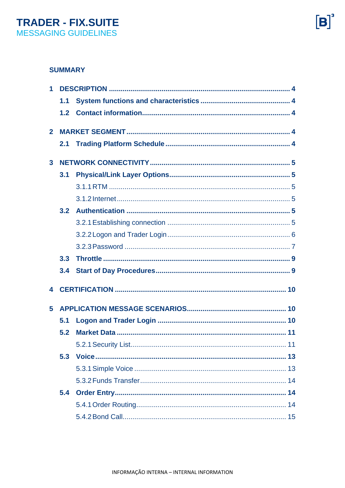#### **SUMMARY**

| 1              |     |  |  |  |  |
|----------------|-----|--|--|--|--|
|                | 1.1 |  |  |  |  |
|                | 1.2 |  |  |  |  |
| $\overline{2}$ |     |  |  |  |  |
|                | 2.1 |  |  |  |  |
| 3              |     |  |  |  |  |
|                | 3.1 |  |  |  |  |
|                |     |  |  |  |  |
|                |     |  |  |  |  |
|                | 3.2 |  |  |  |  |
|                |     |  |  |  |  |
|                |     |  |  |  |  |
|                |     |  |  |  |  |
|                | 3.3 |  |  |  |  |
|                | 3.4 |  |  |  |  |
| 4              |     |  |  |  |  |
| 5              |     |  |  |  |  |
|                | 5.1 |  |  |  |  |
|                | 5.2 |  |  |  |  |
|                |     |  |  |  |  |
|                | 5.3 |  |  |  |  |
|                |     |  |  |  |  |
|                |     |  |  |  |  |
|                | 5.4 |  |  |  |  |
|                |     |  |  |  |  |
|                |     |  |  |  |  |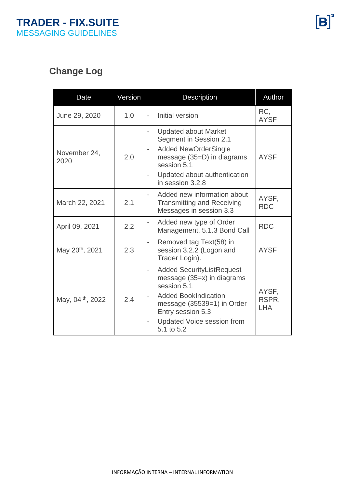# **Change Log**

| Date                         | Version | Description                                                                                                                                                                                                       | Author                       |
|------------------------------|---------|-------------------------------------------------------------------------------------------------------------------------------------------------------------------------------------------------------------------|------------------------------|
| June 29, 2020                | 1.0     | Initial version                                                                                                                                                                                                   | RC,<br><b>AYSF</b>           |
| November 24,<br>2020         | 2.0     | <b>Updated about Market</b><br>$\overline{\phantom{a}}$<br>Segment in Session 2.1<br><b>Added NewOrderSingle</b><br>message (35=D) in diagrams<br>session 5.1<br>Updated about authentication<br>in session 3.2.8 | <b>AYSF</b>                  |
| March 22, 2021               | 2.1     | Added new information about<br><b>Transmitting and Receiving</b><br>Messages in session 3.3                                                                                                                       | AYSF,<br><b>RDC</b>          |
| April 09, 2021               | 2.2     | Added new type of Order<br>$\overline{\phantom{a}}$<br>Management, 5.1.3 Bond Call                                                                                                                                | <b>RDC</b>                   |
| May 20 <sup>th</sup> , 2021  | 2.3     | Removed tag Text(58) in<br>$\overline{\phantom{a}}$<br>session 3.2.2 (Logon and<br>Trader Login).                                                                                                                 | <b>AYSF</b>                  |
| May, 04 <sup>th</sup> , 2022 | 2.4     | <b>Added SecurityListRequest</b><br>message (35=x) in diagrams<br>session 5.1<br><b>Added BookIndication</b><br>message $(35539=1)$ in Order<br>Entry session 5.3<br>Updated Voice session from<br>5.1 to 5.2     | AYSF,<br>RSPR,<br><b>LHA</b> |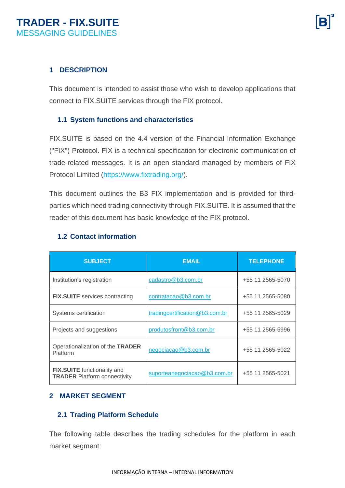#### <span id="page-3-0"></span>**1 DESCRIPTION**

This document is intended to assist those who wish to develop applications that connect to FIX.SUITE services through the FIX protocol.

#### <span id="page-3-1"></span>**1.1 System functions and characteristics**

FIX.SUITE is based on the 4.4 version of the Financial Information Exchange ("FIX") Protocol. FIX is a technical specification for electronic communication of trade-related messages. It is an open standard managed by members of FIX Protocol Limited [\(https://www.fixtrading.org/\)](https://www.fixtrading.org/).

This document outlines the B3 FIX implementation and is provided for thirdparties which need trading connectivity through FIX.SUITE. It is assumed that the reader of this document has basic knowledge of the FIX protocol.

#### <span id="page-3-2"></span>**1.2 Contact information**

| <b>SUBJECT</b>                                                            | <b>EMAIL</b>                   | <b>TELEPHONE</b> |
|---------------------------------------------------------------------------|--------------------------------|------------------|
| Institution's registration                                                | cadastro@b3.com.br             | +55 11 2565-5070 |
| <b>FIX.SUITE</b> services contracting                                     | contratacao@b3.com.br          | +55 11 2565-5080 |
| Systems certification                                                     | tradingcertification@b3.com.br | +55 11 2565-5029 |
| Projects and suggestions                                                  | produtosfront@b3.com.br        | +55 11 2565-5996 |
| Operationalization of the TRADER<br>Platform                              | negociacao@b3.com.br           | +55 11 2565-5022 |
| <b>FIX.SUITE</b> functionality and<br><b>TRADER Platform connectivity</b> | suporteanegociacao@b3.com.br   | +55 11 2565-5021 |

#### <span id="page-3-3"></span>**2 MARKET SEGMENT**

#### <span id="page-3-4"></span>**2.1 Trading Platform Schedule**

The following table describes the trading schedules for the platform in each market segment: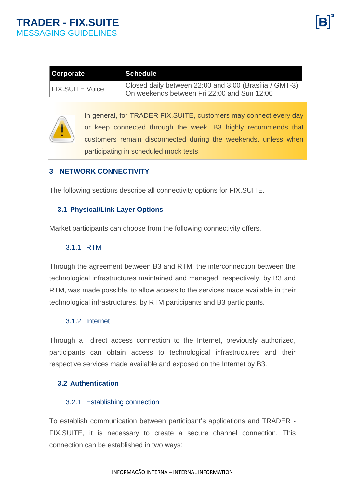| Corporate              | ⊺Schedule                                               |
|------------------------|---------------------------------------------------------|
| <b>FIX.SUITE Voice</b> | Closed daily between 22:00 and 3:00 (Brasília / GMT-3). |
|                        | On weekends between Fri 22:00 and Sun 12:00             |



In general, for TRADER FIX.SUITE, customers may connect every day or keep connected through the week. B3 highly recommends that customers remain disconnected during the weekends, unless when participating in scheduled mock tests.

#### <span id="page-4-0"></span>**3 NETWORK CONNECTIVITY**

The following sections describe all connectivity options for FIX.SUITE.

#### <span id="page-4-1"></span>**3.1 Physical/Link Layer Options**

Market participants can choose from the following connectivity offers.

#### <span id="page-4-2"></span>3.1.1 RTM

Through the agreement between B3 and RTM, the interconnection between the technological infrastructures maintained and managed, respectively, by B3 and RTM, was made possible, to allow access to the services made available in their technological infrastructures, by RTM participants and B3 participants.

#### <span id="page-4-3"></span>3.1.2 Internet

Through a direct access connection to the Internet, previously authorized, participants can obtain access to technological infrastructures and their respective services made available and exposed on the Internet by B3.

#### <span id="page-4-4"></span>**3.2 Authentication**

#### <span id="page-4-5"></span>3.2.1 Establishing connection

To establish communication between participant's applications and TRADER - FIX.SUITE, it is necessary to create a secure channel connection. This connection can be established in two ways: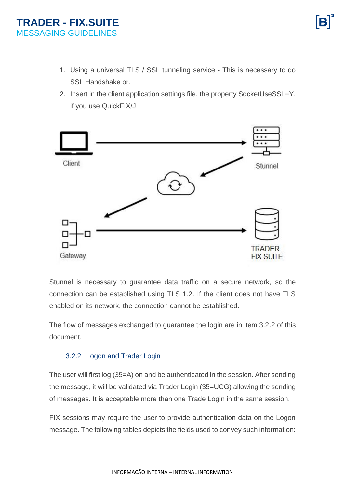- 1. Using a universal TLS / SSL tunneling service This is necessary to do SSL Handshake or.
- 2. Insert in the client application settings file, the property SocketUseSSL=Y, if you use QuickFIX/J.



Stunnel is necessary to guarantee data traffic on a secure network, so the connection can be established using TLS 1.2. If the client does not have TLS enabled on its network, the connection cannot be established.

The flow of messages exchanged to guarantee the login are in item 3.2.2 of this document.

#### <span id="page-5-0"></span>3.2.2 Logon and Trader Login

The user will first log (35=A) on and be authenticated in the session. After sending the message, it will be validated via Trader Login (35=UCG) allowing the sending of messages. It is acceptable more than one Trade Login in the same session.

FIX sessions may require the user to provide authentication data on the Logon message. The following tables depicts the fields used to convey such information: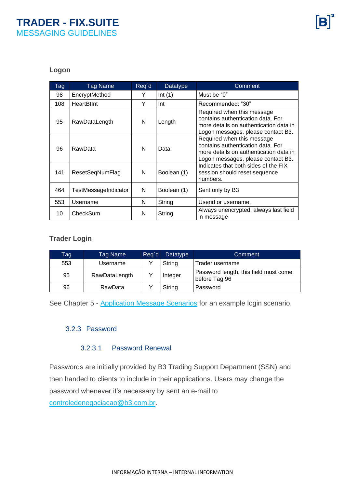#### **Logon**

| <b>Tag</b> | <b>Tag Name</b>      | Req'd | Datatype    | Comment                                                                                                                                         |
|------------|----------------------|-------|-------------|-------------------------------------------------------------------------------------------------------------------------------------------------|
| 98         | EncryptMethod        | Y     | Int(1)      | Must be "0"                                                                                                                                     |
| 108        | <b>HeartBtInt</b>    | Y     | Int         | Recommended: "30"                                                                                                                               |
| 95         | RawDataLength        | N     | Length      | Required when this message<br>contains authentication data. For<br>more details on authentication data in<br>Logon messages, please contact B3. |
| 96         | RawData              | N     | Data        | Required when this message<br>contains authentication data. For<br>more details on authentication data in<br>Logon messages, please contact B3. |
| 141        | ResetSeqNumFlag      | N     | Boolean (1) | Indicates that both sides of the FIX<br>session should reset sequence<br>numbers.                                                               |
| 464        | TestMessageIndicator | N     | Boolean (1) | Sent only by B3                                                                                                                                 |
| 553        | Username             | N     | String      | Userid or username.                                                                                                                             |
| 10         | CheckSum             | N     | String      | Always unencrypted, always last field<br>in message                                                                                             |

#### **Trader Login**

| Tag | Tag Name      | Reg'd | Datatype | Comment                                                |
|-----|---------------|-------|----------|--------------------------------------------------------|
| 553 | Username      |       | String   | Trader username                                        |
| 95  | RawDataLength |       | Integer  | Password length, this field must come<br>before Tag 96 |
| 96  | RawData       |       | String   | Password                                               |

<span id="page-6-0"></span>See Chapter 5 - [Application Message Scenarios](#page-9-2) for an example login scenario.

#### 3.2.3 Password

#### 3.2.3.1 Password Renewal

Passwords are initially provided by B3 Trading Support Department (SSN) and then handed to clients to include in their applications. Users may change the password whenever it's necessary by sent an e-mail to [controledenegociacao@b3.com.br.](mailto:controledenegociacao@b3.com.br)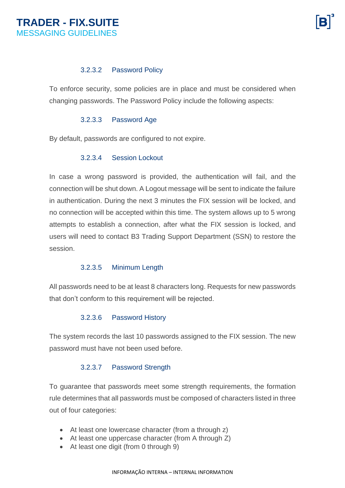#### 3.2.3.2 Password Policy

To enforce security, some policies are in place and must be considered when changing passwords. The Password Policy include the following aspects:

#### 3.2.3.3 Password Age

By default, passwords are configured to not expire.

#### 3.2.3.4 Session Lockout

In case a wrong password is provided, the authentication will fail, and the connection will be shut down. A Logout message will be sent to indicate the failure in authentication. During the next 3 minutes the FIX session will be locked, and no connection will be accepted within this time. The system allows up to 5 wrong attempts to establish a connection, after what the FIX session is locked, and users will need to contact B3 Trading Support Department (SSN) to restore the session.

#### 3.2.3.5 Minimum Length

All passwords need to be at least 8 characters long. Requests for new passwords that don't conform to this requirement will be rejected.

#### 3.2.3.6 Password History

The system records the last 10 passwords assigned to the FIX session. The new password must have not been used before.

#### 3.2.3.7 Password Strength

To guarantee that passwords meet some strength requirements, the formation rule determines that all passwords must be composed of characters listed in three out of four categories:

- At least one lowercase character (from a through z)
- At least one uppercase character (from A through Z)
- At least one digit (from 0 through 9)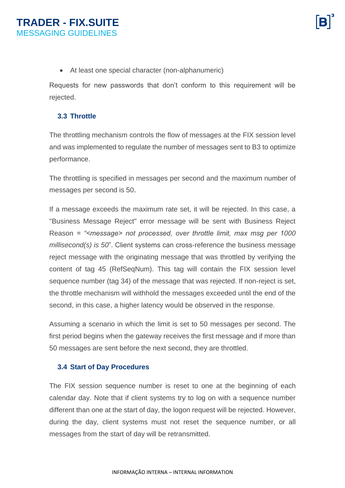• At least one special character (non-alphanumeric)

Requests for new passwords that don't conform to this requirement will be rejected.

#### <span id="page-8-0"></span>**3.3 Throttle**

The throttling mechanism controls the flow of messages at the FIX session level and was implemented to regulate the number of messages sent to B3 to optimize performance.

The throttling is specified in messages per second and the maximum number of messages per second is 50.

If a message exceeds the maximum rate set, it will be rejected. In this case, a "Business Message Reject" error message will be sent with Business Reject Reason *= "<message> not processed, over throttle limit, max msg per 1000 millisecond(s) is 50*". Client systems can cross-reference the business message reject message with the originating message that was throttled by verifying the content of tag 45 (RefSeqNum). This tag will contain the FIX session level sequence number (tag 34) of the message that was rejected. If non-reject is set, the throttle mechanism will withhold the messages exceeded until the end of the second, in this case, a higher latency would be observed in the response.

Assuming a scenario in which the limit is set to 50 messages per second. The first period begins when the gateway receives the first message and if more than 50 messages are sent before the next second, they are throttled.

#### <span id="page-8-1"></span>**3.4 Start of Day Procedures**

The FIX session sequence number is reset to one at the beginning of each calendar day. Note that if client systems try to log on with a sequence number different than one at the start of day, the logon request will be rejected. However, during the day, client systems must not reset the sequence number, or all messages from the start of day will be retransmitted.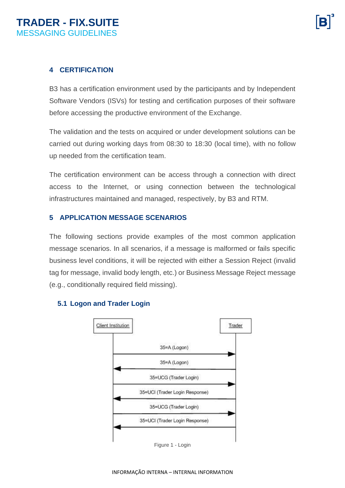#### <span id="page-9-0"></span>**4 CERTIFICATION**

B3 has a certification environment used by the participants and by Independent Software Vendors (ISVs) for testing and certification purposes of their software before accessing the productive environment of the Exchange.

The validation and the tests on acquired or under development solutions can be carried out during working days from 08:30 to 18:30 (local time), with no follow up needed from the certification team.

The certification environment can be access through a connection with direct access to the Internet, or using connection between the technological infrastructures maintained and managed, respectively, by B3 and RTM.

#### <span id="page-9-1"></span>**5 APPLICATION MESSAGE SCENARIOS**

The following sections provide examples of the most common application message scenarios. In all scenarios, if a message is malformed or fails specific business level conditions, it will be rejected with either a Session Reject (invalid tag for message, invalid body length, etc.) or Business Message Reject message (e.g., conditionally required field missing).

Trader



#### <span id="page-9-2"></span>**5.1 Logon and Trader Login**



Figure 1 - Login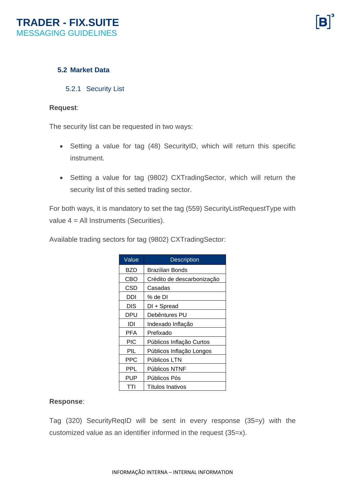#### <span id="page-10-0"></span>**5.2 Market Data**

<span id="page-10-1"></span>5.2.1 Security List

#### **Request**:

The security list can be requested in two ways:

- Setting a value for tag (48) SecurityID, which will return this specific instrument.
- Setting a value for tag (9802) CXTradingSector, which will return the security list of this setted trading sector.

For both ways, it is mandatory to set the tag (559) SecurityListRequestType with value 4 = All Instruments (Securities).

Available trading sectors for tag (9802) CXTradingSector:

| Value      | <b>Description</b>         |
|------------|----------------------------|
| BZD        | <b>Brazilian Bonds</b>     |
| CBO        | Crédito de descarbonização |
| CSD        | Casadas                    |
| DDI        | % de DI                    |
| DIS        | DI + Spread                |
| <b>DPU</b> | Debêntures PU              |
| IDI        | Indexado Inflação          |
| PFA        | Prefixado                  |
| PIC        | Públicos Inflação Curtos   |
| PIL        | Públicos Inflação Longos   |
| PPC        | Públicos LTN               |
| PPL        | Públicos NTNF              |
| <b>PUP</b> | Públicos Pós               |
|            | Títulos Inativos           |

#### **Response**:

Tag (320) SecurityReqID will be sent in every response (35=y) with the customized value as an identifier informed in the request (35=x).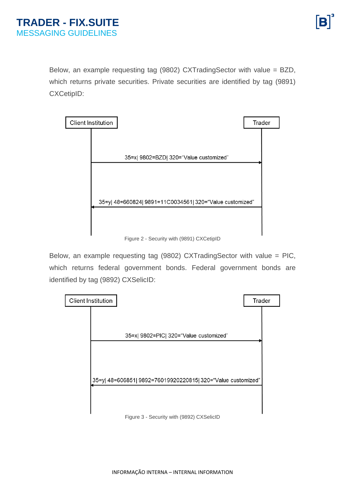Below, an example requesting tag (9802) CXTradingSector with value = BZD, which returns private securities. Private securities are identified by tag (9891) CXCetipID:



Figure 2 - Security with (9891) CXCetipID

Below, an example requesting tag (9802) CXTradingSector with value = PIC, which returns federal government bonds. Federal government bonds are identified by tag (9892) CXSelicID:

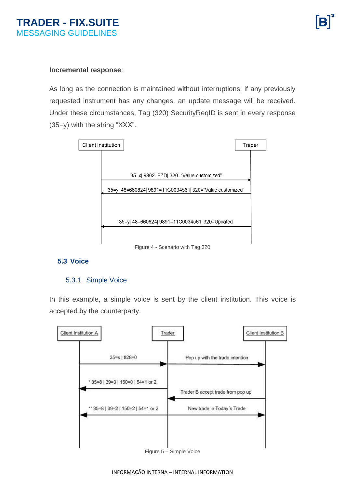#### **Incremental response**:

As long as the connection is maintained without interruptions, if any previously requested instrument has any changes, an update message will be received. Under these circumstances, Tag (320) SecurityReqID is sent in every response (35=y) with the string "XXX".



### <span id="page-12-0"></span>**5.3 Voice**

#### <span id="page-12-1"></span>5.3.1 Simple Voice

In this example, a simple voice is sent by the client institution. This voice is accepted by the counterparty.

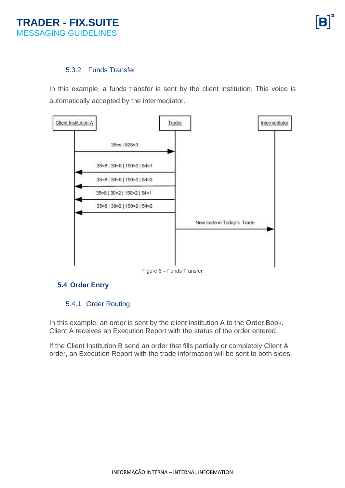#### <span id="page-13-0"></span>5.3.2 Funds Transfer

In this example, a funds transfer is sent by the client institution. This voice is automatically accepted by the intermediator.



Figure 6 – Funds Transfer

#### <span id="page-13-1"></span>**5.4 Order Entry**

#### <span id="page-13-2"></span>5.4.1 Order Routing

In this example, an order is sent by the client institution A to the Order Book. Client A receives an Execution Report with the status of the order entered.

If the Client Institution B send an order that fills partially or completely Client A order, an Execution Report with the trade information will be sent to both sides.